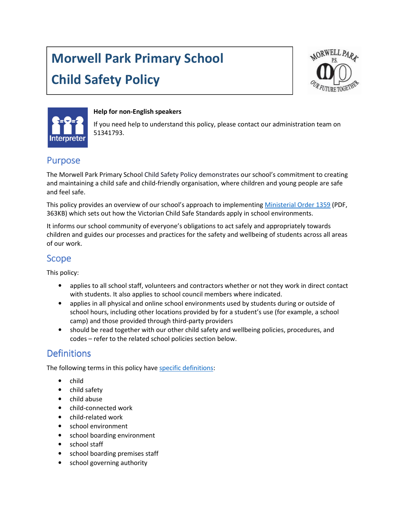# Morwell Park Primary School Child Safety Policy





#### Help for non-English speakers

If you need help to understand this policy, please contact our administration team on 51341793.

### **Purpose**

The Morwell Park Primary School Child Safety Policy demonstrates our school's commitment to creating and maintaining a child safe and child-friendly organisation, where children and young people are safe and feel safe.

This policy provides an overview of our school's approach to implementing Ministerial Order 1359 (PDF, 363KB) which sets out how the Victorian Child Safe Standards apply in school environments.

It informs our school community of everyone's obligations to act safely and appropriately towards children and guides our processes and practices for the safety and wellbeing of students across all areas of our work.

### Scope

This policy:

- applies to all school staff, volunteers and contractors whether or not they work in direct contact with students. It also applies to school council members where indicated.
- applies in all physical and online school environments used by students during or outside of school hours, including other locations provided by for a student's use (for example, a school camp) and those provided through third-party providers
- should be read together with our other child safety and wellbeing policies, procedures, and codes – refer to the related school policies section below.

## **Definitions**

The following terms in this policy have specific definitions:

- child
- child safety
- child abuse
- child-connected work
- child-related work
- school environment
- school boarding environment
- school staff
- school boarding premises staff
- school governing authority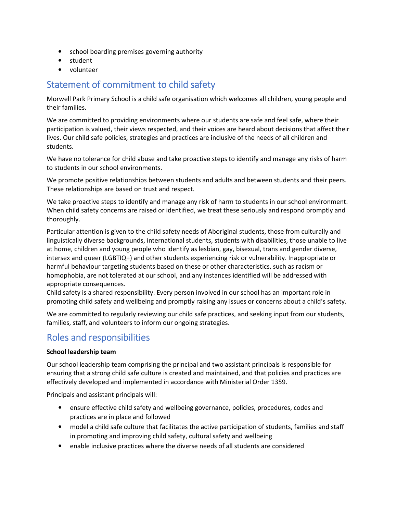- school boarding premises governing authority
- student
- volunteer

## Statement of commitment to child safety

Morwell Park Primary School is a child safe organisation which welcomes all children, young people and their families.

We are committed to providing environments where our students are safe and feel safe, where their participation is valued, their views respected, and their voices are heard about decisions that affect their lives. Our child safe policies, strategies and practices are inclusive of the needs of all children and students.

We have no tolerance for child abuse and take proactive steps to identify and manage any risks of harm to students in our school environments.

We promote positive relationships between students and adults and between students and their peers. These relationships are based on trust and respect.

We take proactive steps to identify and manage any risk of harm to students in our school environment. When child safety concerns are raised or identified, we treat these seriously and respond promptly and thoroughly.

Particular attention is given to the child safety needs of Aboriginal students, those from culturally and linguistically diverse backgrounds, international students, students with disabilities, those unable to live at home, children and young people who identify as lesbian, gay, bisexual, trans and gender diverse, intersex and queer (LGBTIQ+) and other students experiencing risk or vulnerability. Inappropriate or harmful behaviour targeting students based on these or other characteristics, such as racism or homophobia, are not tolerated at our school, and any instances identified will be addressed with appropriate consequences.

Child safety is a shared responsibility. Every person involved in our school has an important role in promoting child safety and wellbeing and promptly raising any issues or concerns about a child's safety.

We are committed to regularly reviewing our child safe practices, and seeking input from our students, families, staff, and volunteers to inform our ongoing strategies.

# Roles and responsibilities

#### School leadership team

Our school leadership team comprising the principal and two assistant principals is responsible for ensuring that a strong child safe culture is created and maintained, and that policies and practices are effectively developed and implemented in accordance with Ministerial Order 1359.

Principals and assistant principals will:

- ensure effective child safety and wellbeing governance, policies, procedures, codes and practices are in place and followed
- model a child safe culture that facilitates the active participation of students, families and staff in promoting and improving child safety, cultural safety and wellbeing
- enable inclusive practices where the diverse needs of all students are considered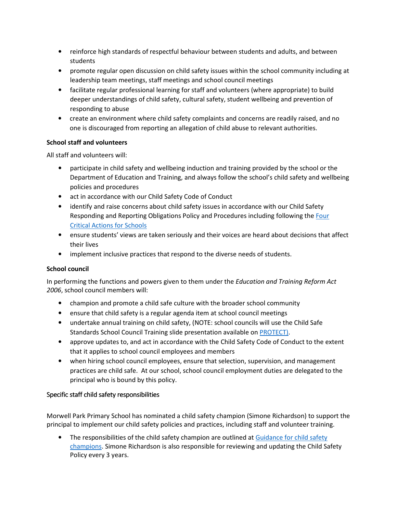- reinforce high standards of respectful behaviour between students and adults, and between students
- promote regular open discussion on child safety issues within the school community including at leadership team meetings, staff meetings and school council meetings
- facilitate regular professional learning for staff and volunteers (where appropriate) to build deeper understandings of child safety, cultural safety, student wellbeing and prevention of responding to abuse
- create an environment where child safety complaints and concerns are readily raised, and no one is discouraged from reporting an allegation of child abuse to relevant authorities.

#### School staff and volunteers

All staff and volunteers will:

- participate in child safety and wellbeing induction and training provided by the school or the Department of Education and Training, and always follow the school's child safety and wellbeing policies and procedures
- act in accordance with our Child Safety Code of Conduct
- identify and raise concerns about child safety issues in accordance with our Child Safety Responding and Reporting Obligations Policy and Procedures including following the Four Critical Actions for Schools
- ensure students' views are taken seriously and their voices are heard about decisions that affect their lives
- implement inclusive practices that respond to the diverse needs of students.

#### School council

In performing the functions and powers given to them under the Education and Training Reform Act 2006, school council members will:

- champion and promote a child safe culture with the broader school community
- ensure that child safety is a regular agenda item at school council meetings
- undertake annual training on child safety, (NOTE: school councils will use the Child Safe Standards School Council Training slide presentation available on PROTECT).
- approve updates to, and act in accordance with the Child Safety Code of Conduct to the extent that it applies to school council employees and members
- when hiring school council employees, ensure that selection, supervision, and management practices are child safe. At our school, school council employment duties are delegated to the principal who is bound by this policy.

#### Specific staff child safety responsibilities

Morwell Park Primary School has nominated a child safety champion (Simone Richardson) to support the principal to implement our child safety policies and practices, including staff and volunteer training.

• The responsibilities of the child safety champion are outlined at Guidance for child safety champions. Simone Richardson is also responsible for reviewing and updating the Child Safety Policy every 3 years.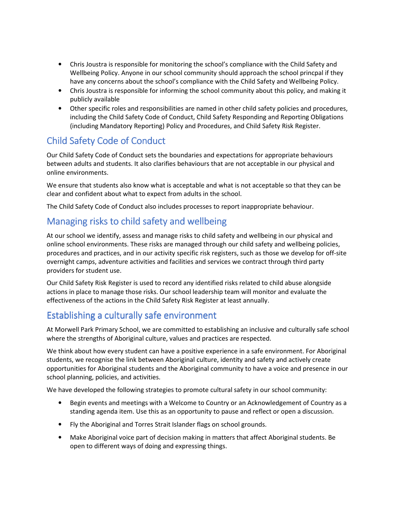- Chris Joustra is responsible for monitoring the school's compliance with the Child Safety and Wellbeing Policy. Anyone in our school community should approach the school princpal if they have any concerns about the school's compliance with the Child Safety and Wellbeing Policy.
- Chris Joustra is responsible for informing the school community about this policy, and making it publicly available
- Other specific roles and responsibilities are named in other child safety policies and procedures, including the Child Safety Code of Conduct, Child Safety Responding and Reporting Obligations (including Mandatory Reporting) Policy and Procedures, and Child Safety Risk Register.

# Child Safety Code of Conduct

Our Child Safety Code of Conduct sets the boundaries and expectations for appropriate behaviours between adults and students. It also clarifies behaviours that are not acceptable in our physical and online environments.

We ensure that students also know what is acceptable and what is not acceptable so that they can be clear and confident about what to expect from adults in the school.

The Child Safety Code of Conduct also includes processes to report inappropriate behaviour.

# Managing risks to child safety and wellbeing

At our school we identify, assess and manage risks to child safety and wellbeing in our physical and online school environments. These risks are managed through our child safety and wellbeing policies, procedures and practices, and in our activity specific risk registers, such as those we develop for off-site overnight camps, adventure activities and facilities and services we contract through third party providers for student use.

Our Child Safety Risk Register is used to record any identified risks related to child abuse alongside actions in place to manage those risks. Our school leadership team will monitor and evaluate the effectiveness of the actions in the Child Safety Risk Register at least annually.

# Establishing a culturally safe environment

At Morwell Park Primary School, we are committed to establishing an inclusive and culturally safe school where the strengths of Aboriginal culture, values and practices are respected.

We think about how every student can have a positive experience in a safe environment. For Aboriginal students, we recognise the link between Aboriginal culture, identity and safety and actively create opportunities for Aboriginal students and the Aboriginal community to have a voice and presence in our school planning, policies, and activities.

We have developed the following strategies to promote cultural safety in our school community:

- Begin events and meetings with a Welcome to Country or an Acknowledgement of Country as a standing agenda item. Use this as an opportunity to pause and reflect or open a discussion.
- Fly the Aboriginal and Torres Strait Islander flags on school grounds.
- Make Aboriginal voice part of decision making in matters that affect Aboriginal students. Be open to different ways of doing and expressing things.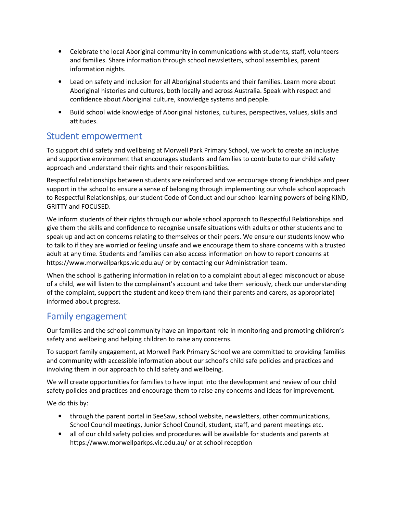- Celebrate the local Aboriginal community in communications with students, staff, volunteers and families. Share information through school newsletters, school assemblies, parent information nights.
- Lead on safety and inclusion for all Aboriginal students and their families. Learn more about Aboriginal histories and cultures, both locally and across Australia. Speak with respect and confidence about Aboriginal culture, knowledge systems and people.
- Build school wide knowledge of Aboriginal histories, cultures, perspectives, values, skills and attitudes.

### Student empowerment

To support child safety and wellbeing at Morwell Park Primary School, we work to create an inclusive and supportive environment that encourages students and families to contribute to our child safety approach and understand their rights and their responsibilities.

Respectful relationships between students are reinforced and we encourage strong friendships and peer support in the school to ensure a sense of belonging through implementing our whole school approach to Respectful Relationships, our student Code of Conduct and our school learning powers of being KIND, GRITTY and FOCUSED.

We inform students of their rights through our whole school approach to Respectful Relationships and give them the skills and confidence to recognise unsafe situations with adults or other students and to speak up and act on concerns relating to themselves or their peers. We ensure our students know who to talk to if they are worried or feeling unsafe and we encourage them to share concerns with a trusted adult at any time. Students and families can also access information on how to report concerns at https://www.morwellparkps.vic.edu.au/ or by contacting our Administration team.

When the school is gathering information in relation to a complaint about alleged misconduct or abuse of a child, we will listen to the complainant's account and take them seriously, check our understanding of the complaint, support the student and keep them (and their parents and carers, as appropriate) informed about progress.

### Family engagement

Our families and the school community have an important role in monitoring and promoting children's safety and wellbeing and helping children to raise any concerns.

To support family engagement, at Morwell Park Primary School we are committed to providing families and community with accessible information about our school's child safe policies and practices and involving them in our approach to child safety and wellbeing.

We will create opportunities for families to have input into the development and review of our child safety policies and practices and encourage them to raise any concerns and ideas for improvement.

We do this by:

- through the parent portal in SeeSaw, school website, newsletters, other communications, School Council meetings, Junior School Council, student, staff, and parent meetings etc.
- all of our child safety policies and procedures will be available for students and parents at https://www.morwellparkps.vic.edu.au/ or at school reception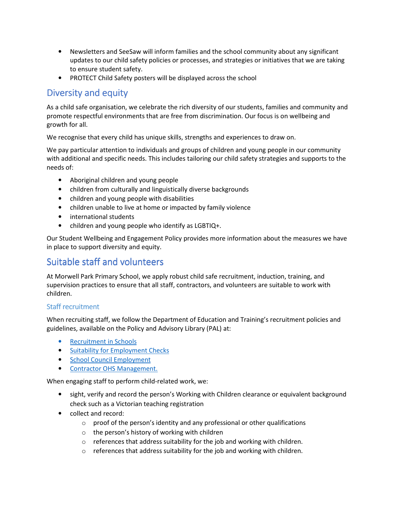- Newsletters and SeeSaw will inform families and the school community about any significant updates to our child safety policies or processes, and strategies or initiatives that we are taking to ensure student safety.
- PROTECT Child Safety posters will be displayed across the school

# Diversity and equity

As a child safe organisation, we celebrate the rich diversity of our students, families and community and promote respectful environments that are free from discrimination. Our focus is on wellbeing and growth for all.

We recognise that every child has unique skills, strengths and experiences to draw on.

We pay particular attention to individuals and groups of children and young people in our community with additional and specific needs. This includes tailoring our child safety strategies and supports to the needs of:

- Aboriginal children and young people
- children from culturally and linguistically diverse backgrounds
- children and young people with disabilities
- children unable to live at home or impacted by family violence
- international students
- children and young people who identify as LGBTIQ+.

Our Student Wellbeing and Engagement Policy provides more information about the measures we have in place to support diversity and equity.

# Suitable staff and volunteers

At Morwell Park Primary School, we apply robust child safe recruitment, induction, training, and supervision practices to ensure that all staff, contractors, and volunteers are suitable to work with children.

#### Staff recruitment

When recruiting staff, we follow the Department of Education and Training's recruitment policies and guidelines, available on the Policy and Advisory Library (PAL) at:

- Recruitment in Schools
- Suitability for Employment Checks
- School Council Employment
- Contractor OHS Management.

When engaging staff to perform child-related work, we:

- sight, verify and record the person's Working with Children clearance or equivalent background check such as a Victorian teaching registration
- collect and record:
	- $\circ$  proof of the person's identity and any professional or other qualifications
	- o the person's history of working with children
	- $\circ$  references that address suitability for the job and working with children.
	- o references that address suitability for the job and working with children.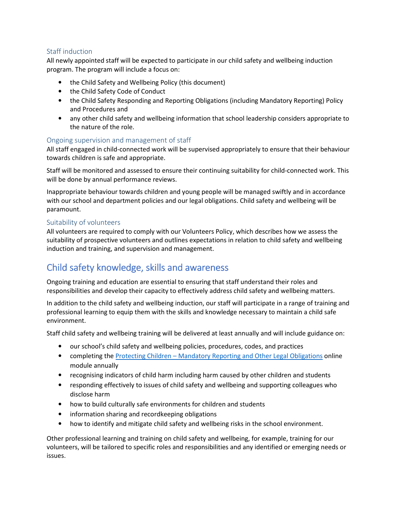#### Staff induction

All newly appointed staff will be expected to participate in our child safety and wellbeing induction program. The program will include a focus on:

- the Child Safety and Wellbeing Policy (this document)
- the Child Safety Code of Conduct
- the Child Safety Responding and Reporting Obligations (including Mandatory Reporting) Policy and Procedures and
- any other child safety and wellbeing information that school leadership considers appropriate to the nature of the role.

#### Ongoing supervision and management of staff

All staff engaged in child-connected work will be supervised appropriately to ensure that their behaviour towards children is safe and appropriate.

Staff will be monitored and assessed to ensure their continuing suitability for child-connected work. This will be done by annual performance reviews.

Inappropriate behaviour towards children and young people will be managed swiftly and in accordance with our school and department policies and our legal obligations. Child safety and wellbeing will be paramount.

#### Suitability of volunteers

All volunteers are required to comply with our Volunteers Policy, which describes how we assess the suitability of prospective volunteers and outlines expectations in relation to child safety and wellbeing induction and training, and supervision and management.

## Child safety knowledge, skills and awareness

Ongoing training and education are essential to ensuring that staff understand their roles and responsibilities and develop their capacity to effectively address child safety and wellbeing matters.

In addition to the child safety and wellbeing induction, our staff will participate in a range of training and professional learning to equip them with the skills and knowledge necessary to maintain a child safe environment.

Staff child safety and wellbeing training will be delivered at least annually and will include guidance on:

- our school's child safety and wellbeing policies, procedures, codes, and practices
- completing the Protecting Children Mandatory Reporting and Other Legal Obligations online module annually
- recognising indicators of child harm including harm caused by other children and students
- responding effectively to issues of child safety and wellbeing and supporting colleagues who disclose harm
- how to build culturally safe environments for children and students
- information sharing and recordkeeping obligations
- how to identify and mitigate child safety and wellbeing risks in the school environment.

Other professional learning and training on child safety and wellbeing, for example, training for our volunteers, will be tailored to specific roles and responsibilities and any identified or emerging needs or issues.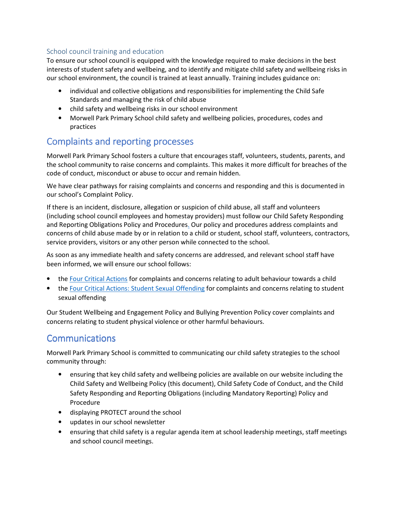#### School council training and education

To ensure our school council is equipped with the knowledge required to make decisions in the best interests of student safety and wellbeing, and to identify and mitigate child safety and wellbeing risks in our school environment, the council is trained at least annually. Training includes guidance on:

- individual and collective obligations and responsibilities for implementing the Child Safe Standards and managing the risk of child abuse
- child safety and wellbeing risks in our school environment
- Morwell Park Primary School child safety and wellbeing policies, procedures, codes and practices

## Complaints and reporting processes

Morwell Park Primary School fosters a culture that encourages staff, volunteers, students, parents, and the school community to raise concerns and complaints. This makes it more difficult for breaches of the code of conduct, misconduct or abuse to occur and remain hidden.

We have clear pathways for raising complaints and concerns and responding and this is documented in our school's Complaint Policy.

If there is an incident, disclosure, allegation or suspicion of child abuse, all staff and volunteers (including school council employees and homestay providers) must follow our Child Safety Responding and Reporting Obligations Policy and Procedures. Our policy and procedures address complaints and concerns of child abuse made by or in relation to a child or student, school staff, volunteers, contractors, service providers, visitors or any other person while connected to the school.

As soon as any immediate health and safety concerns are addressed, and relevant school staff have been informed, we will ensure our school follows:

- the Four Critical Actions for complaints and concerns relating to adult behaviour towards a child
- the Four Critical Actions: Student Sexual Offending for complaints and concerns relating to student sexual offending

Our Student Wellbeing and Engagement Policy and Bullying Prevention Policy cover complaints and concerns relating to student physical violence or other harmful behaviours.

## **Communications**

Morwell Park Primary School is committed to communicating our child safety strategies to the school community through:

- ensuring that key child safety and wellbeing policies are available on our website including the Child Safety and Wellbeing Policy (this document), Child Safety Code of Conduct, and the Child Safety Responding and Reporting Obligations (including Mandatory Reporting) Policy and Procedure
- displaying PROTECT around the school
- updates in our school newsletter
- ensuring that child safety is a regular agenda item at school leadership meetings, staff meetings and school council meetings.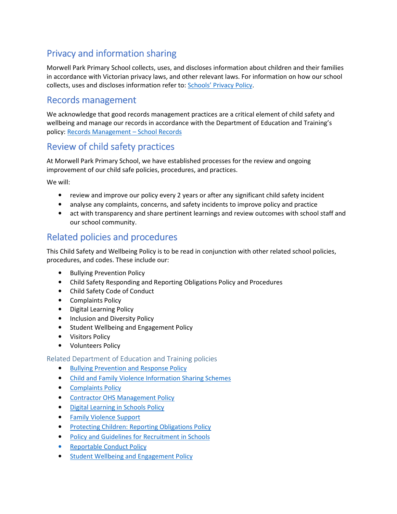# Privacy and information sharing

Morwell Park Primary School collects, uses, and discloses information about children and their families in accordance with Victorian privacy laws, and other relevant laws. For information on how our school collects, uses and discloses information refer to: Schools' Privacy Policy.

### Records management

We acknowledge that good records management practices are a critical element of child safety and wellbeing and manage our records in accordance with the Department of Education and Training's policy: Records Management – School Records

## Review of child safety practices

At Morwell Park Primary School, we have established processes for the review and ongoing improvement of our child safe policies, procedures, and practices.

We will:

- review and improve our policy every 2 years or after any significant child safety incident
- analyse any complaints, concerns, and safety incidents to improve policy and practice
- act with transparency and share pertinent learnings and review outcomes with school staff and our school community.

### Related policies and procedures

This Child Safety and Wellbeing Policy is to be read in conjunction with other related school policies, procedures, and codes. These include our:

- Bullying Prevention Policy
- Child Safety Responding and Reporting Obligations Policy and Procedures
- Child Safety Code of Conduct
- Complaints Policy
- Digital Learning Policy
- Inclusion and Diversity Policy
- Student Wellbeing and Engagement Policy
- Visitors Policy
- Volunteers Policy

#### Related Department of Education and Training policies

- Bullying Prevention and Response Policy
- Child and Family Violence Information Sharing Schemes
- Complaints Policy
- Contractor OHS Management Policy
- Digital Learning in Schools Policy
- Family Violence Support
- Protecting Children: Reporting Obligations Policy
- Policy and Guidelines for Recruitment in Schools
- Reportable Conduct Policy
- Student Wellbeing and Engagement Policy